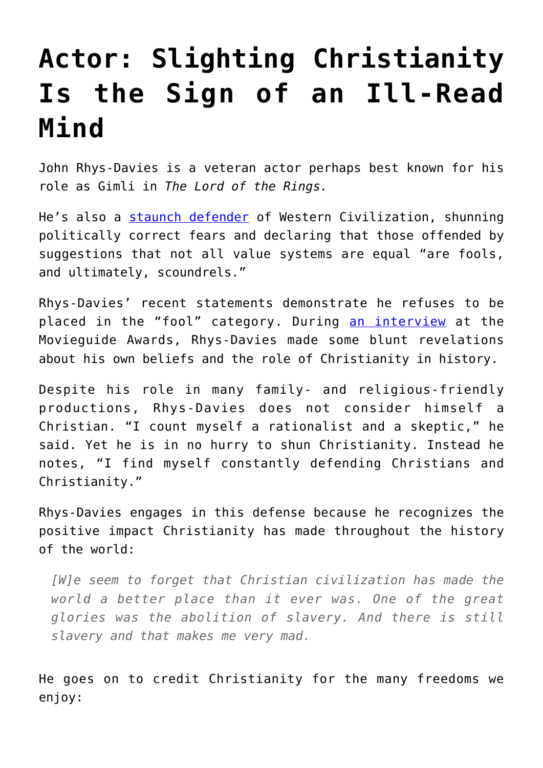## **[Actor: Slighting Christianity](https://intellectualtakeout.org/2020/02/actor-slighting-christianity-is-the-sign-of-an-ill-read-mind/) [Is the Sign of an Ill-Read](https://intellectualtakeout.org/2020/02/actor-slighting-christianity-is-the-sign-of-an-ill-read-mind/) [Mind](https://intellectualtakeout.org/2020/02/actor-slighting-christianity-is-the-sign-of-an-ill-read-mind/)**

John Rhys-Davies is a veteran actor perhaps best known for his role as Gimli in *The Lord of the Rings.*

He's also a [staunch defender](https://www.intellectualtakeout.org/blog/actor-western-civilization-danger-losing) of Western Civilization, shunning politically correct fears and declaring that those offended by suggestions that not all value systems are equal "are fools, and ultimately, scoundrels."

Rhys-Davies' recent statements demonstrate he refuses to be placed in the "fool" category. During [an interview](https://www.christianpost.com/news/hollywood-actor-john-rhys-davies-says-christianitys-not-irrelevant-has-made-the-world-better.html) at the Movieguide Awards, Rhys-Davies made some blunt revelations about his own beliefs and the role of Christianity in history.

Despite his role in many family- and religious-friendly productions, Rhys-Davies does not consider himself a Christian. "I count myself a rationalist and a skeptic," he said. Yet he is in no hurry to shun Christianity. Instead he notes, "I find myself constantly defending Christians and Christianity."

Rhys-Davies engages in this defense because he recognizes the positive impact Christianity has made throughout the history of the world:

*[W]e seem to forget that Christian civilization has made the world a better place than it ever was. One of the great glories was the abolition of slavery. And there is still slavery and that makes me very mad.*

He goes on to credit Christianity for the many freedoms we enjoy: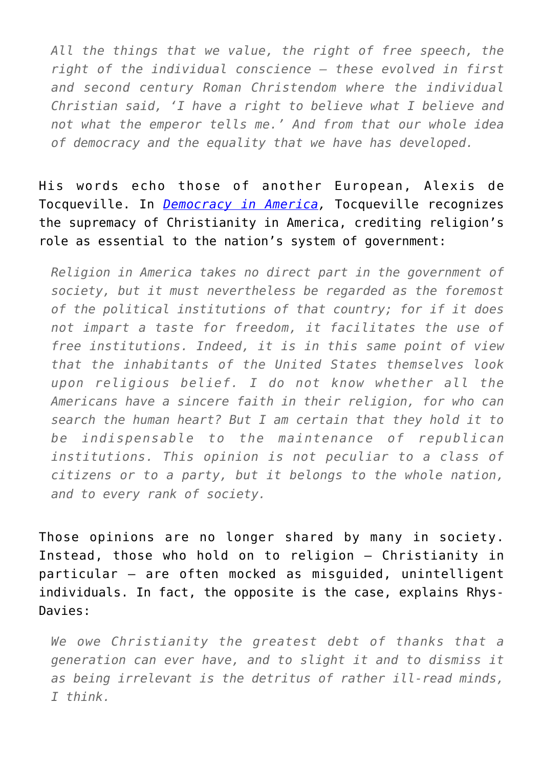*All the things that we value, the right of free speech, the right of the individual conscience – these evolved in first and second century Roman Christendom where the individual Christian said, 'I have a right to believe what I believe and not what the emperor tells me.' And from that our whole idea of democracy and the equality that we have has developed.*

His words echo those of another European, Alexis de Tocqueville. In *[Democracy in America](https://www.gutenberg.org/files/815/815-h/815-h.htm),* Tocqueville recognizes the supremacy of Christianity in America, crediting religion's role as essential to the nation's system of government:

*Religion in America takes no direct part in the government of society, but it must nevertheless be regarded as the foremost of the political institutions of that country; for if it does not impart a taste for freedom, it facilitates the use of free institutions. Indeed, it is in this same point of view that the inhabitants of the United States themselves look upon religious belief. I do not know whether all the Americans have a sincere faith in their religion, for who can search the human heart? But I am certain that they hold it to be indispensable to the maintenance of republican institutions. This opinion is not peculiar to a class of citizens or to a party, but it belongs to the whole nation, and to every rank of society.*

Those opinions are no longer shared by many in society. Instead, those who hold on to religion – Christianity in particular – are often mocked as misguided, unintelligent individuals. In fact, the opposite is the case, explains Rhys-Davies:

*We owe Christianity the greatest debt of thanks that a generation can ever have, and to slight it and to dismiss it as being irrelevant is the detritus of rather ill-read minds, I think.*